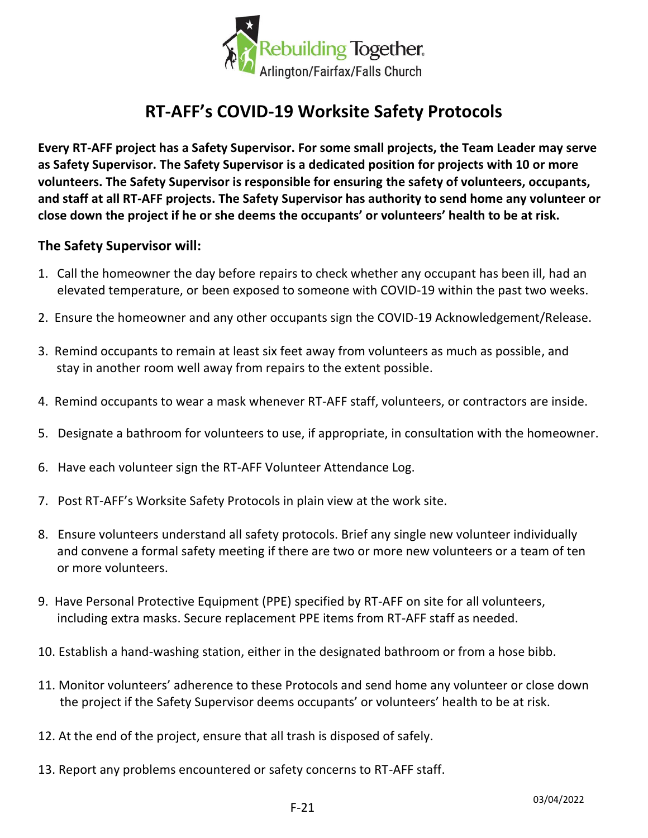

## **RT-AFF's COVID-19 Worksite Safety Protocols**

**Every RT-AFF project has a Safety Supervisor. For some small projects, the Team Leader may serve as Safety Supervisor. The Safety Supervisor is a dedicated position for projects with 10 or more volunteers. The Safety Supervisor is responsible for ensuring the safety of volunteers, occupants, and staff at all RT-AFF projects. The Safety Supervisor has authority to send home any volunteer or close down the project if he or she deems the occupants' or volunteers' health to be at risk.** 

## **The Safety Supervisor will:**

- 1. Call the homeowner the day before repairs to check whether any occupant has been ill, had an elevated temperature, or been exposed to someone with COVID-19 within the past two weeks.
- 2. Ensure the homeowner and any other occupants sign the COVID-19 Acknowledgement/Release.
- 3. Remind occupants to remain at least six feet away from volunteers as much as possible, and stay in another room well away from repairs to the extent possible.
- 4. Remind occupants to wear a mask whenever RT-AFF staff, volunteers, or contractors are inside.
- 5. Designate a bathroom for volunteers to use, if appropriate, in consultation with the homeowner.
- 6. Have each volunteer sign the RT-AFF Volunteer Attendance Log.
- 7. Post RT-AFF's Worksite Safety Protocols in plain view at the work site.
- 8. Ensure volunteers understand all safety protocols. Brief any single new volunteer individually and convene a formal safety meeting if there are two or more new volunteers or a team of ten or more volunteers.
- 9. Have Personal Protective Equipment (PPE) specified by RT-AFF on site for all volunteers, including extra masks. Secure replacement PPE items from RT-AFF staff as needed.
- 10. Establish a hand-washing station, either in the designated bathroom or from a hose bibb.
- 11. Monitor volunteers' adherence to these Protocols and send home any volunteer or close down the project if the Safety Supervisor deems occupants' or volunteers' health to be at risk.
- 12. At the end of the project, ensure that all trash is disposed of safely.
- 13. Report any problems encountered or safety concerns to RT-AFF staff.